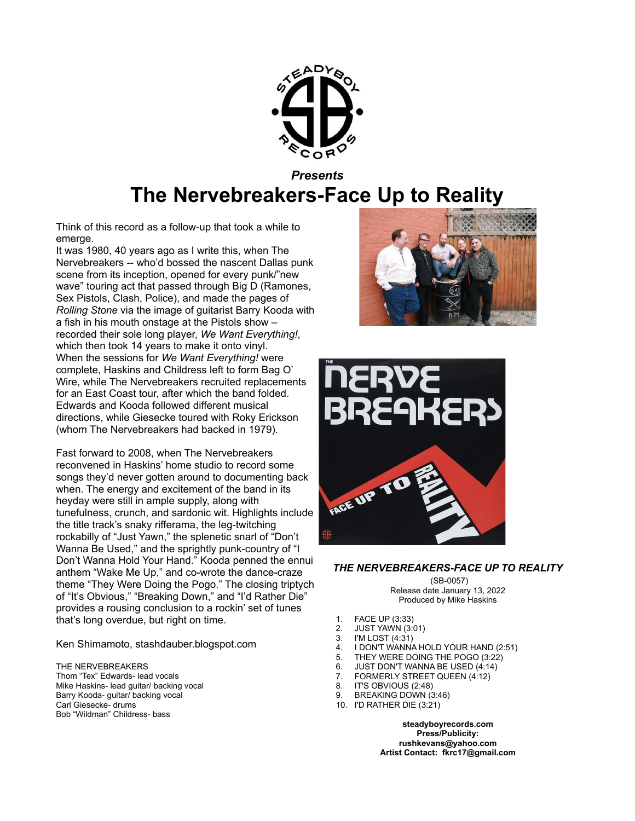

## *Presents* **The Nervebreakers-Face Up to Reality**

Think of this record as a follow-up that took a while to emerge.

It was 1980, 40 years ago as I write this, when The Nervebreakers -- who'd bossed the nascent Dallas punk scene from its inception, opened for every punk/"new wave" touring act that passed through Big D (Ramones, Sex Pistols, Clash, Police), and made the pages of *Rolling Stone* via the image of guitarist Barry Kooda with a fish in his mouth onstage at the Pistols show – recorded their sole long player, *We Want Everything!*, which then took 14 years to make it onto vinyl. When the sessions for *We Want Everything!* were complete, Haskins and Childress left to form Bag O' Wire, while The Nervebreakers recruited replacements for an East Coast tour, after which the band folded. Edwards and Kooda followed different musical directions, while Giesecke toured with Roky Erickson (whom The Nervebreakers had backed in 1979).

Fast forward to 2008, when The Nervebreakers reconvened in Haskins' home studio to record some songs they'd never gotten around to documenting back when. The energy and excitement of the band in its heyday were still in ample supply, along with tunefulness, crunch, and sardonic wit. Highlights include the title track's snaky rifferama, the leg-twitching rockabilly of "Just Yawn," the splenetic snarl of "Don't Wanna Be Used," and the sprightly punk-country of "I Don't Wanna Hold Your Hand." Kooda penned the ennui anthem "Wake Me Up," and co-wrote the dance-craze theme "They Were Doing the Pogo." The closing triptych of "It's Obvious," "Breaking Down," and "I'd Rather Die" provides a rousing conclusion to a rockin' set of tunes that's long overdue, but right on time.

Ken Shimamoto, stashdauber.blogspot.com

THE NERVEBREAKERS Thom "Tex" Edwards- lead vocals Mike Haskins- lead guitar/ backing vocal Barry Kooda- guitar/ backing vocal Carl Giesecke- drums Bob "Wildman" Childress- bass





## *THE NERVEBREAKERS-FACE UP TO REALITY*

(SB-0057) Release date January 13, 2022 Produced by Mike Haskins

- 1. FACE UP (3:33)
- 2. JUST YAWN (3:01)<br>3. I'M LOST (4:31)
- **I'M LOST (4:31)**
- 4. I DON'T WANNA HOLD YOUR HAND (2:51)
- 5. THEY WERE DOING THE POGO (3:22)
- 6. JUST DON'T WANNA BE USED (4:14)
- 7. FORMERLY STREET QUEEN (4:12)
- 8. IT'S OBVIOUS (2:48)
- 9. BREAKING DOWN (3:46)
- 10. I'D RATHER DIE (3:21)

**[steadyboyrecords.com](http://www.steadyboyrecords.com) Press/Publicity: [rushkevans@yahoo.com](mailto:rushkevans@yahoo.com) Artist Contact: fkrc17@gmail.com**